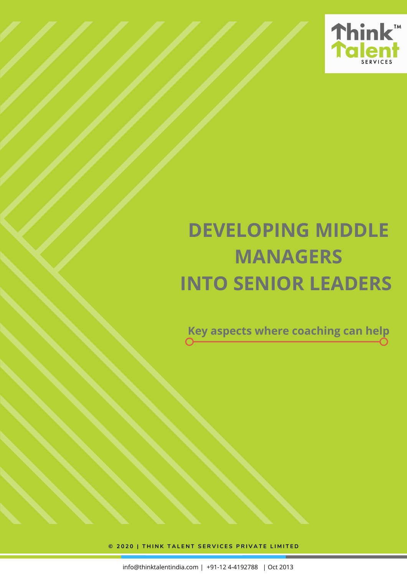

# **DEVELOPING MIDDLE MANAGERS INTO SENIOR LEADERS**

**Key aspects where coaching can help**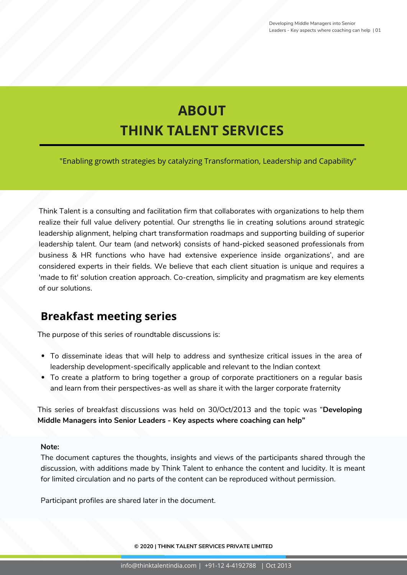## **ABOUT THINK TALENT SERVICES**

"Enabling growth strategies by catalyzing Transformation, Leadership and Capability"

Think Talent is a consulting and facilitation firm that collaborates with organizations to help them realize their full value delivery potential. Our strengths lie in creating solutions around strategic leadership alignment, helping chart transformation roadmaps and supporting building of superior leadership talent. Our team (and network) consists of hand-picked seasoned professionals from business & HR functions who have had extensive experience inside organizations', and are considered experts in their fields. We believe that each client situation is unique and requires a 'made to fit' solution creation approach. Co-creation, simplicity and pragmatism are key elements of our solutions.

## **Breakfast meeting series**

The purpose of this series of roundtable discussions is:

- To disseminate ideas that will help to address and synthesize critical issues in the area of leadership development-specifically applicable and relevant to the Indian context
- To create a platform to bring together a group of corporate practitioners on a regular basis and learn from their perspectives-as well as share it with the larger corporate fraternity

This series of breakfast discussions was held on 30/Oct/2013 and the topic was "**Developing Middle Managers into Senior Leaders - Key aspects where coaching can help"**

#### **Note:**

The document captures the thoughts, insights and views of the participants shared through the discussion, with additions made by Think Talent to enhance the content and lucidity. It is meant for limited circulation and no parts of the content can be reproduced without permission.

Participant profiles are shared later in the document.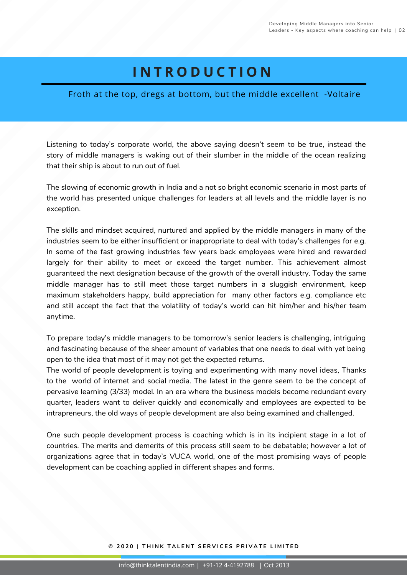## **I N T R O D U C T I O N**

#### Froth at the top, dregs at bottom, but the middle excellent -Voltaire

Listening to today's corporate world, the above saying doesn't seem to be true, instead the story of middle managers is waking out of their slumber in the middle of the ocean realizing that their ship is about to run out of fuel.

The slowing of economic growth in India and a not so bright economic scenario in most parts of the world has presented unique challenges for leaders at all levels and the middle layer is no exception.

The skills and mindset acquired, nurtured and applied by the middle managers in many of the industries seem to be either insufficient or inappropriate to deal with today's challenges for e.g. In some of the fast growing industries few years back employees were hired and rewarded largely for their ability to meet or exceed the target number. This achievement almost guaranteed the next designation because of the growth of the overall industry. Today the same middle manager has to still meet those target numbers in a sluggish environment, keep maximum stakeholders happy, build appreciation for many other factors e.g. compliance etc and still accept the fact that the volatility of today's world can hit him/her and his/her team anytime.

To prepare today's middle managers to be tomorrow's senior leaders is challenging, intriguing and fascinating because of the sheer amount of variables that one needs to deal with yet being open to the idea that most of it may not get the expected returns.

The world of people development is toying and experimenting with many novel ideas, Thanks to the world of internet and social media. The latest in the genre seem to be the concept of pervasive learning (3/33) model. In an era where the business models become redundant every quarter, leaders want to deliver quickly and economically and employees are expected to be intrapreneurs, the old ways of people development are also being examined and challenged.

One such people development process is coaching which is in its incipient stage in a lot of countries. The merits and demerits of this process still seem to be debatable; however a lot of organizations agree that in today's VUCA world, one of the most promising ways of people development can be coaching applied in different shapes and forms.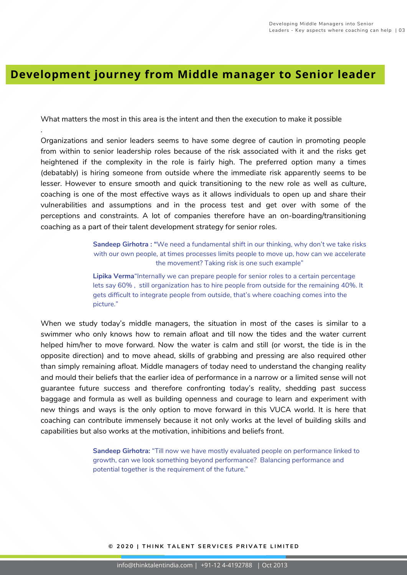## **Development journey from Middle manager to Senior leader**

What matters the most in this area is the intent and then the execution to make it possible

.

Organizations and senior leaders seems to have some degree of caution in promoting people from within to senior leadership roles because of the risk associated with it and the risks get heightened if the complexity in the role is fairly high. The preferred option many a times (debatably) is hiring someone from outside where the immediate risk apparently seems to be lesser. However to ensure smooth and quick transitioning to the new role as well as culture, coaching is one of the most effective ways as it allows individuals to open up and share their vulnerabilities and assumptions and in the process test and get over with some of the perceptions and constraints. A lot of companies therefore have an on-boarding/transitioning coaching as a part of their talent development strategy for senior roles.

> **Sandeep Girhotra : "**We need a fundamental shift in our thinking, why don't we take risks with our own people, at times processes limits people to move up, how can we accelerate the movement? Taking risk is one such example"

**Lipika Verma**"Internally we can prepare people for senior roles to a certain percentage lets say 60% , still organization has to hire people from outside for the remaining 40%. It gets difficult to integrate people from outside, that's where coaching comes into the picture."

When we study today's middle managers, the situation in most of the cases is similar to a swimmer who only knows how to remain afloat and till now the tides and the water current helped him/her to move forward. Now the water is calm and still (or worst, the tide is in the opposite direction) and to move ahead, skills of grabbing and pressing are also required other than simply remaining afloat. Middle managers of today need to understand the changing reality and mould their beliefs that the earlier idea of performance in a narrow or a limited sense will not guarantee future success and therefore confronting today's reality, shedding past success baggage and formula as well as building openness and courage to learn and experiment with new things and ways is the only option to move forward in this VUCA world. It is here that coaching can contribute immensely because it not only works at the level of building skills and capabilities but also works at the motivation, inhibitions and beliefs front.

> **Sandeep Girhotra:** "Till now we have mostly evaluated people on performance linked to growth, can we look something beyond performance? Balancing performance and potential together is the requirement of the future."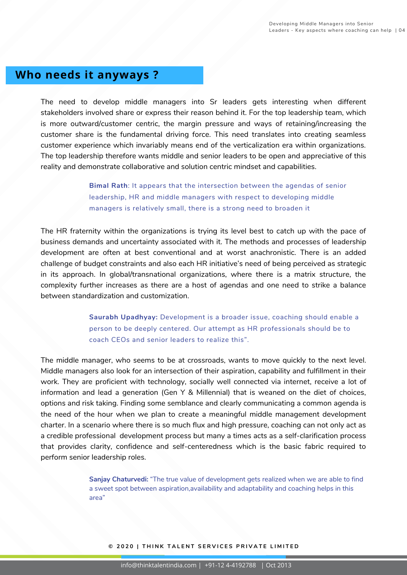## **Who needs it anyways ?**

The need to develop middle managers into Sr leaders gets interesting when different stakeholders involved share or express their reason behind it. For the top leadership team, which is more outward/customer centric, the margin pressure and ways of retaining/increasing the customer share is the fundamental driving force. This need translates into creating seamless customer experience which invariably means end of the verticalization era within organizations. The top leadership therefore wants middle and senior leaders to be open and appreciative of this reality and demonstrate collaborative and solution centric mindset and capabilities.

> **Bimal Rath**: It appears that the intersection between the agendas of senior leadership, HR and middle managers with respect to developing middle managers is relatively small, there is a strong need to broaden it

The HR fraternity within the organizations is trying its level best to catch up with the pace of business demands and uncertainty associated with it. The methods and processes of leadership development are often at best conventional and at worst anachronistic. There is an added challenge of budget constraints and also each HR initiative's need of being perceived as strategic in its approach. In global/transnational organizations, where there is a matrix structure, the complexity further increases as there are a host of agendas and one need to strike a balance between standardization and customization.

> **Saurabh Upadhyay:** Development is a broader issue, coaching should enable a person to be deeply centered. Our attempt as HR professionals should be to coach CEOs and senior leaders to realize this".

The middle manager, who seems to be at crossroads, wants to move quickly to the next level. Middle managers also look for an intersection of their aspiration, capability and fulfillment in their work. They are proficient with technology, socially well connected via internet, receive a lot of information and lead a generation (Gen Y & Millennial) that is weaned on the diet of choices, options and risk taking. Finding some semblance and clearly communicating a common agenda is the need of the hour when we plan to create a meaningful middle management development charter. In a scenario where there is so much flux and high pressure, coaching can not only act as a credible professional development process but many a times acts as a self-clarification process that provides clarity, confidence and self-centeredness which is the basic fabric required to perform senior leadership roles.

> **Sanjay Chaturvedi:** "The true value of development gets realized when we are able to find a sweet spot between aspiration,availability and adaptability and coaching helps in this area"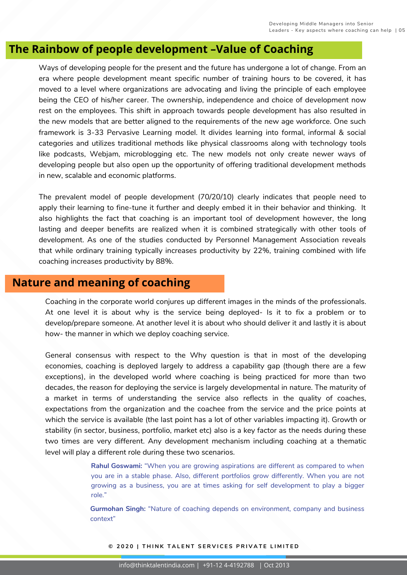## **The Rainbow of people development –Value of Coaching**

Ways of developing people for the present and the future has undergone a lot of change. From an era where people development meant specific number of training hours to be covered, it has moved to a level where organizations are advocating and living the principle of each employee being the CEO of his/her career. The ownership, independence and choice of development now rest on the employees. This shift in approach towards people development has also resulted in the new models that are better aligned to the requirements of the new age workforce. One such framework is 3-33 Pervasive Learning model. It divides learning into formal, informal & social categories and utilizes traditional methods like physical classrooms along with technology tools like podcasts, Webjam, microblogging etc. The new models not only create newer ways of developing people but also open up the opportunity of offering traditional development methods in new, scalable and economic platforms.

The prevalent model of people development (70/20/10) clearly indicates that people need to apply their learning to fine-tune it further and deeply embed it in their behavior and thinking. It also highlights the fact that coaching is an important tool of development however, the long lasting and deeper benefits are realized when it is combined strategically with other tools of development. As one of the studies conducted by Personnel Management Association reveals that while ordinary training typically increases productivity by 22%, training combined with life coaching increases productivity by 88%.

## **Nature and meaning of coaching**

Coaching in the corporate world conjures up different images in the minds of the professionals. At one level it is about why is the service being deployed- Is it to fix a problem or to develop/prepare someone. At another level it is about who should deliver it and lastly it is about how- the manner in which we deploy coaching service.

General consensus with respect to the Why question is that in most of the developing economies, coaching is deployed largely to address a capability gap (though there are a few exceptions), in the developed world where coaching is being practiced for more than two decades, the reason for deploying the service is largely developmental in nature. The maturity of a market in terms of understanding the service also reflects in the quality of coaches, expectations from the organization and the coachee from the service and the price points at which the service is available (the last point has a lot of other variables impacting it). Growth or stability (in sector, business, portfolio, market etc) also is a key factor as the needs during these two times are very different. Any development mechanism including coaching at a thematic level will play a different role during these two scenarios.

> **Rahul Goswami:** "When you are growing aspirations are different as compared to when you are in a stable phase. Also, different portfolios grow differently. When you are not growing as a business, you are at times asking for self development to play a bigger role."

> **Gurmohan Singh:** "Nature of coaching depends on environment, company and business context"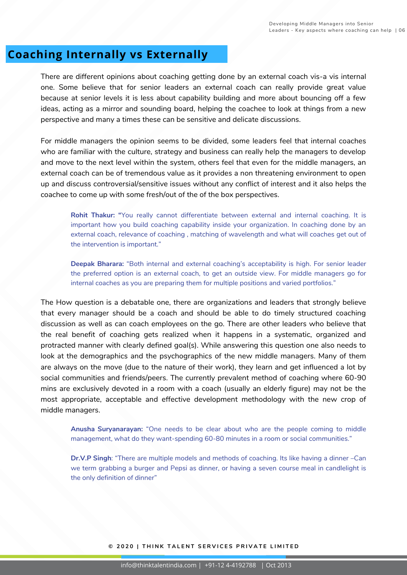## **Coaching Internally vs Externally**

There are different opinions about coaching getting done by an external coach vis-a vis internal one. Some believe that for senior leaders an external coach can really provide great value because at senior levels it is less about capability building and more about bouncing off a few ideas, acting as a mirror and sounding board, helping the coachee to look at things from a new perspective and many a times these can be sensitive and delicate discussions.

For middle managers the opinion seems to be divided, some leaders feel that internal coaches who are familiar with the culture, strategy and business can really help the managers to develop and move to the next level within the system, others feel that even for the middle managers, an external coach can be of tremendous value as it provides a non threatening environment to open up and discuss controversial/sensitive issues without any conflict of interest and it also helps the coachee to come up with some fresh/out of the of the box perspectives.

**Rohit Thakur: "**You really cannot differentiate between external and internal coaching. It is important how you build coaching capability inside your organization. In coaching done by an external coach, relevance of coaching , matching of wavelength and what will coaches get out of the intervention is important."

**Deepak Bharara:** "Both internal and external coaching's acceptability is high. For senior leader the preferred option is an external coach, to get an outside view. For middle managers go for internal coaches as you are preparing them for multiple positions and varied portfolios."

The How question is a debatable one, there are organizations and leaders that strongly believe that every manager should be a coach and should be able to do timely structured coaching discussion as well as can coach employees on the go. There are other leaders who believe that the real benefit of coaching gets realized when it happens in a systematic, organized and protracted manner with clearly defined goal(s). While answering this question one also needs to look at the demographics and the psychographics of the new middle managers. Many of them are always on the move (due to the nature of their work), they learn and get influenced a lot by social communities and friends/peers. The currently prevalent method of coaching where 60-90 mins are exclusively devoted in a room with a coach (usually an elderly figure) may not be the most appropriate, acceptable and effective development methodology with the new crop of middle managers.

**Anusha Suryanarayan:** "One needs to be clear about who are the people coming to middle management, what do they want-spending 60-80 minutes in a room or social communities."

**Dr.V.P Singh**: "There are multiple models and methods of coaching. Its like having a dinner –Can we term grabbing a burger and Pepsi as dinner, or having a seven course meal in candlelight is the only definition of dinner"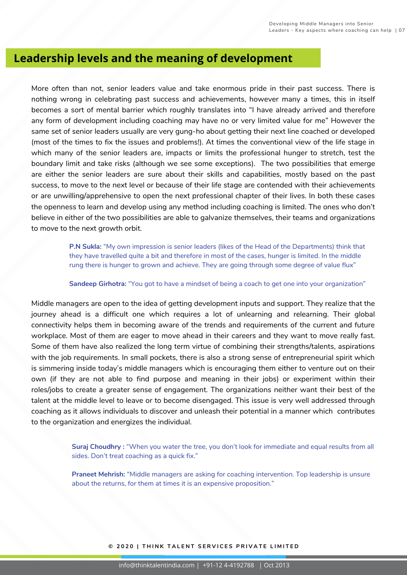## **Leadership levels and the meaning of development**

More often than not, senior leaders value and take enormous pride in their past success. There is nothing wrong in celebrating past success and achievements, however many a times, this in itself becomes a sort of mental barrier which roughly translates into "I have already arrived and therefore any form of development including coaching may have no or very limited value for me" However the same set of senior leaders usually are very gung-ho about getting their next line coached or developed (most of the times to fix the issues and problems!). At times the conventional view of the life stage in which many of the senior leaders are, impacts or limits the professional hunger to stretch, test the boundary limit and take risks (although we see some exceptions). The two possibilities that emerge are either the senior leaders are sure about their skills and capabilities, mostly based on the past success, to move to the next level or because of their life stage are contended with their achievements or are unwilling/apprehensive to open the next professional chapter of their lives. In both these cases the openness to learn and develop using any method including coaching is limited. The ones who don't believe in either of the two possibilities are able to galvanize themselves, their teams and organizations to move to the next growth orbit.

> **P.N Sukla:** "My own impression is senior leaders (likes of the Head of the Departments) think that they have travelled quite a bit and therefore in most of the cases, hunger is limited. In the middle rung there is hunger to grown and achieve. They are going through some degree of value flux"

> **Sandeep Girhotra:** "You got to have a mindset of being a coach to get one into your organization"

Middle managers are open to the idea of getting development inputs and support. They realize that the journey ahead is a difficult one which requires a lot of unlearning and relearning. Their global connectivity helps them in becoming aware of the trends and requirements of the current and future workplace. Most of them are eager to move ahead in their careers and they want to move really fast. Some of them have also realized the long term virtue of combining their strengths/talents, aspirations with the job requirements. In small pockets, there is also a strong sense of entrepreneurial spirit which is simmering inside today's middle managers which is encouraging them either to venture out on their own (if they are not able to find purpose and meaning in their jobs) or experiment within their roles/jobs to create a greater sense of engagement. The organizations neither want their best of the talent at the middle level to leave or to become disengaged. This issue is very well addressed through coaching as it allows individuals to discover and unleash their potential in a manner which contributes to the organization and energizes the individual.

> **Suraj Choudhry :** "When you water the tree, you don't look for immediate and equal results from all sides. Don't treat coaching as a quick fix."

**Praneet Mehrish:** "Middle managers are asking for coaching intervention. Top leadership is unsure about the returns, for them at times it is an expensive proposition."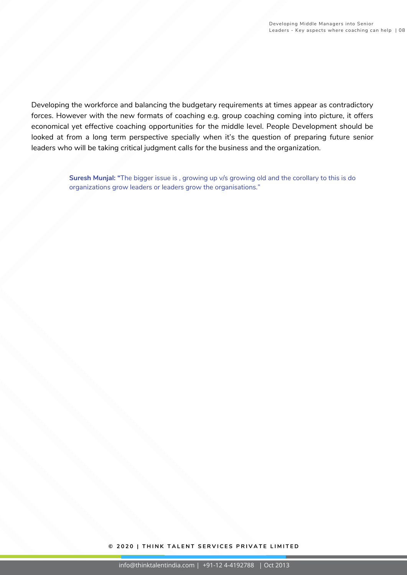Developing the workforce and balancing the budgetary requirements at times appear as contradictory forces. However with the new formats of coaching e.g. group coaching coming into picture, it offers economical yet effective coaching opportunities for the middle level. People Development should be looked at from a long term perspective specially when it's the question of preparing future senior leaders who will be taking critical judgment calls for the business and the organization.

> **Suresh Munjal: "**The bigger issue is , growing up v/s growing old and the corollary to this is do organizations grow leaders or leaders grow the organisations."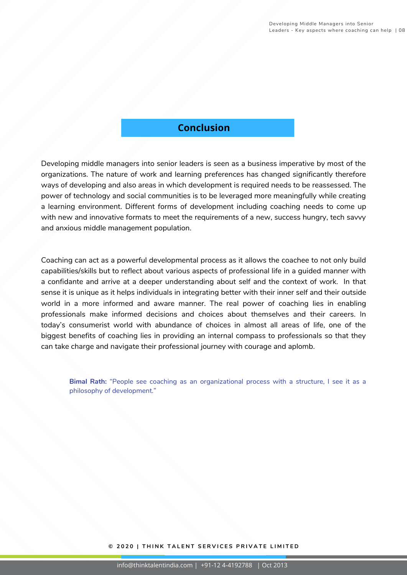### **Conclusion**

Developing middle managers into senior leaders is seen as a business imperative by most of the organizations. The nature of work and learning preferences has changed significantly therefore ways of developing and also areas in which development is required needs to be reassessed. The power of technology and social communities is to be leveraged more meaningfully while creating a learning environment. Different forms of development including coaching needs to come up with new and innovative formats to meet the requirements of a new, success hungry, tech savvy and anxious middle management population.

Coaching can act as a powerful developmental process as it allows the coachee to not only build capabilities/skills but to reflect about various aspects of professional life in a guided manner with a confidante and arrive at a deeper understanding about self and the context of work. In that sense it is unique as it helps individuals in integrating better with their inner self and their outside world in a more informed and aware manner. The real power of coaching lies in enabling professionals make informed decisions and choices about themselves and their careers. In today's consumerist world with abundance of choices in almost all areas of life, one of the biggest benefits of coaching lies in providing an internal compass to professionals so that they can take charge and navigate their professional journey with courage and aplomb.

**Bimal Rath:** "People see coaching as an organizational process with a structure, I see it as a philosophy of development."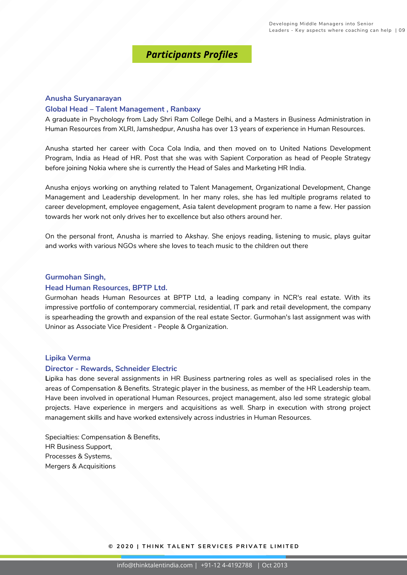### *Participants Profiles*

#### **Anusha Suryanarayan**

#### **Global Head – Talent Management , Ranbaxy**

A graduate in Psychology from Lady Shri Ram College Delhi, and a Masters in Business Administration in Human Resources from XLRI, Jamshedpur, Anusha has over 13 years of experience in Human Resources.

Anusha started her career with Coca Cola India, and then moved on to United Nations Development Program, India as Head of HR. Post that she was with Sapient Corporation as head of People Strategy before joining Nokia where she is currently the Head of Sales and Marketing HR India.

Anusha enjoys working on anything related to Talent Management, Organizational Development, Change Management and Leadership development. In her many roles, she has led multiple programs related to career development, employee engagement, Asia talent development program to name a few. Her passion towards her work not only drives her to excellence but also others around her.

On the personal front, Anusha is married to Akshay. She enjoys reading, listening to music, plays guitar and works with various NGOs where she loves to teach music to the children out there

#### **Gurmohan Singh,**

#### **Head Human Resources, BPTP Ltd.**

Gurmohan heads Human Resources at BPTP Ltd, a leading company in NCR's real estate. With its impressive portfolio of contemporary commercial, residential, IT park and retail development, the company is spearheading the growth and expansion of the real estate Sector. Gurmohan's last assignment was with Uninor as Associate Vice President - People & Organization.

#### **Lipika Verma**

#### **Director - Rewards, Schneider Electric**

**L**ipika has done several assignments in HR Business partnering roles as well as specialised roles in the areas of Compensation & Benefits. Strategic player in the business, as member of the HR Leadership team. Have been involved in operational Human Resources, project management, also led some strategic global projects. Have experience in mergers and acquisitions as well. Sharp in execution with strong project management skills and have worked extensively across industries in Human Resources.

Specialties: Compensation & Benefits, HR Business Support, Processes & Systems, Mergers & Acquisitions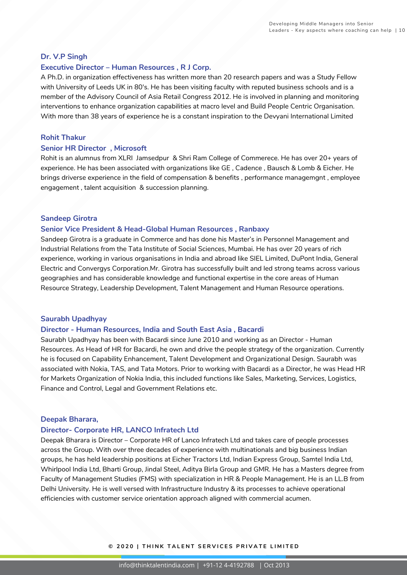#### **Dr. V.P Singh**

#### **Executive Director – Human Resources , R J Corp.**

A Ph.D. in organization effectiveness has written more than 20 research papers and was a Study Fellow with University of Leeds UK in 80's. He has been visiting faculty with reputed business schools and is a member of the Advisory Council of Asia Retail Congress 2012. He is involved in planning and monitoring interventions to enhance organization capabilities at macro level and Build People Centric Organisation. With more than 38 years of experience he is a constant inspiration to the Devyani International Limited

#### **Rohit Thakur**

#### **Senior HR Director , Microsoft**

Rohit is an alumnus from XLRI Jamsedpur & Shri Ram College of Commerece. He has over 20+ years of experience. He has been associated with organizations like GE , Cadence , Bausch & Lomb & Eicher. He brings driverse experience in the field of compensation & benefits , performance managemgnt , employee engagement , talent acquisition & succession planning.

#### **Sandeep Girotra**

#### **Senior Vice President & Head-Global Human Resources , Ranbaxy**

Sandeep Girotra is a graduate in Commerce and has done his Master's in Personnel Management and Industrial Relations from the Tata Institute of Social Sciences, Mumbai. He has over 20 years of rich experience, working in various organisations in India and abroad like SIEL Limited, DuPont India, General Electric and Convergys Corporation.Mr. Girotra has successfully built and led strong teams across various geographies and has considerable knowledge and functional expertise in the core areas of Human Resource Strategy, Leadership Development, Talent Management and Human Resource operations.

#### **Saurabh Upadhyay**

#### **Director - Human Resources, India and South East Asia , Bacardi**

Saurabh Upadhyay has been with Bacardi since June 2010 and working as an Director - Human Resources. As Head of HR for Bacardi, he own and drive the people strategy of the organization. Currently he is focused on Capability Enhancement, Talent Development and Organizational Design. Saurabh was associated with Nokia, TAS, and Tata Motors. Prior to working with Bacardi as a Director, he was Head HR for Markets Organization of Nokia India, this included functions like Sales, Marketing, Services, Logistics, Finance and Control, Legal and Government Relations etc.

#### **Deepak Bharara,**

#### **Director- Corporate HR, LANCO Infratech Ltd**

Deepak Bharara is Director – Corporate HR of Lanco Infratech Ltd and takes care of people processes across the Group. With over three decades of experience with multinationals and big business Indian groups, he has held leadership positions at Eicher Tractors Ltd, Indian Express Group, Samtel India Ltd, Whirlpool India Ltd, Bharti Group, Jindal Steel, Aditya Birla Group and GMR. He has a Masters degree from Faculty of Management Studies (FMS) with specialization in HR & People Management. He is an LL.B from Delhi University. He is well versed with Infrastructure Industry & its processes to achieve operational efficiencies with customer service orientation approach aligned with commercial acumen.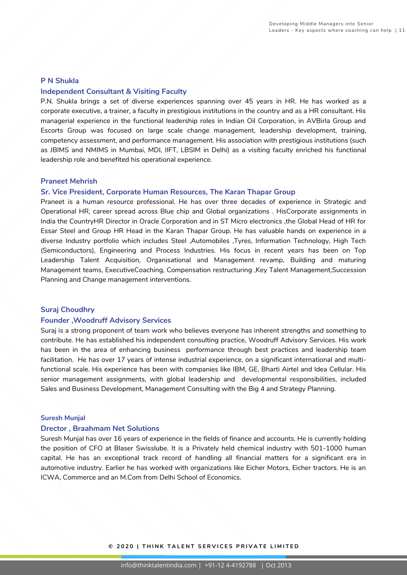#### **P N Shukla**

#### **Independent Consultant & Visiting Faculty**

P.N. Shukla brings a set of diverse experiences spanning over 45 years in HR. He has worked as a corporate executive, a trainer, a faculty in prestigious institutions in the country and as a HR consultant. His managerial experience in the functional leadership roles in Indian Oil Corporation, in AVBirla Group and Escorts Group was focused on large scale change management, leadership development, training, competency assessment, and performance management. His association with prestigious institutions (such as JBIMS and NMIMS in Mumbai, MDI, IIFT, LBSIM in Delhi) as a visiting faculty enriched his functional leadership role and benefited his operational experience.

#### **Praneet Mehrish**

#### **Sr. Vice President, Corporate Human Resources, The Karan Thapar Group**

Praneet is a human resource professional. He has over three decades of experience in Strategic and Operational HR, career spread across Blue chip and Global organizations . HisCorporate assignments in India the CountryHR Director in Oracle Corporation and in ST Micro electronics ,the Global Head of HR for Essar Steel and Group HR Head in the Karan Thapar Group. He has valuable hands on experience in a diverse Industry portfolio which includes Steel ,Automobiles ,Tyres, Information Technology, High Tech (Semiconductors), Engineering and Process Industries. His focus in recent years has been on Top Leadership Talent Acquisition, Organisational and Management revamp, Building and maturing Management teams, ExecutiveCoaching, Compensation restructuring ,Key Talent Management,Succession Planning and Change management interventions.

#### **Suraj Choudhry**

#### **Founder ,Woodruff Advisory Services**

Suraj is a strong proponent of team work who believes everyone has inherent strengths and something to contribute. He has established his independent consulting practice, Woodruff Advisory Services. His work has been in the area of enhancing business performance through best practices and leadership team facilitation. He has over 17 years of intense industrial experience, on a significant international and multifunctional scale. His experience has been with companies like IBM, GE, Bharti Airtel and Idea Cellular. His senior management assignments, with global leadership and developmental responsibilities, included Sales and Business Development, Management Consulting with the Big 4 and Strategy Planning.

#### **Suresh Munjal**

#### **Drector , Braahmam Net Solutions**

Suresh Munjal has over 16 years of experience in the fields of finance and accounts. He is currently holding the position of CFO at Blaser Swisslube. It is a Privately held chemical industry with 501-1000 human capital. He has an exceptional track record of handling all financial matters for a significant era in automotive industry. Earlier he has worked with organizations like Eicher Motors, Eicher tractors. He is an ICWA, Commerce and an M.Com from Delhi School of Economics.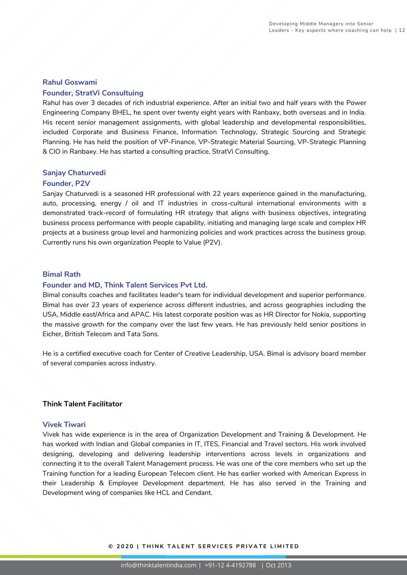#### **Rahul Goswami**

#### **Founder, StratVi Consultuing**

Rahul has over 3 decades of rich industrial experience. After an initial two and half years with the Power Engineering Company BHEL, he spent over twenty eight years with Ranbaxy, both overseas and in India. His recent senior management assignments, with global leadership and developmental responsibilities, included Corporate and Business Finance, Information Technology, Strategic Sourcing and Strategic Planning. He has held the position of VP-Finance, VP-Strategic Material Sourcing, VP-Strategic Planning & CIO in Ranbaxy. He has started a consulting practice, StratVi Consulting.

#### **Sanjay Chaturvedi**

#### **Founder, P2V**

Sanjay Chaturvedi is a seasoned HR professional with 22 years experience gained in the manufacturing, auto, processing, energy / oil and IT industries in cross-cultural international environments with a demonstrated track-record of formulating HR strategy that aligns with business objectives, integrating business process performance with people capability, initiating and managing large scale and complex HR projects at a business group level and harmonizing policies and work practices across the business group. Currently runs his own organization People to Value (P2V).

#### **Bimal Rath**

#### **Founder and MD, Think Talent Services Pvt Ltd.**

Bimal consults coaches and facilitates leader's team for individual development and superior performance. Bimal has over 23 years of experience across different industries, and across geographies including the USA, Middle east/Africa and APAC. His latest corporate position was as HR Director for Nokia, supporting the massive growth for the company over the last few years. He has previously held senior positions in Eicher, British Telecom and Tata Sons.

He is a certified executive coach for Center of Creative Leadership, USA. Bimal is advisory board member of several companies across industry.

#### **Think Talent Facilitator**

#### **Vivek Tiwari**

Vivek has wide experience is in the area of Organization Development and Training & Development. He has worked with Indian and Global companies in IT, ITES, Financial and Travel sectors. His work involved designing, developing and delivering leadership interventions across levels in organizations and connecting it to the overall Talent Management process. He was one of the core members who set up the Training function for a leading European Telecom client. He has earlier worked with American Express in their Leadership & Employee Development department. He has also served in the Training and Development wing of companies like HCL and Cendant.